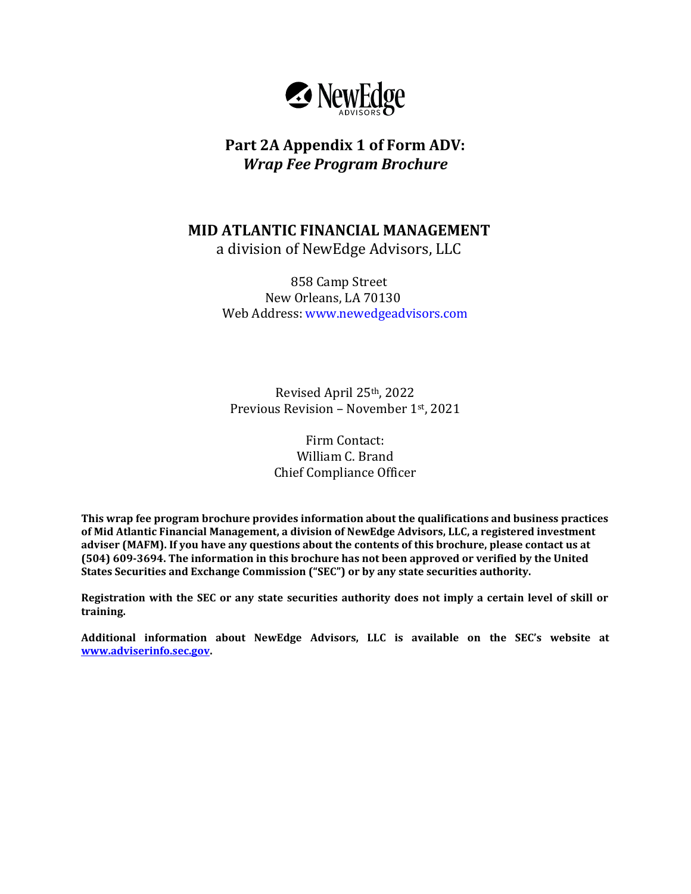

# **Part 2A Appendix 1 of Form ADV:**  *Wrap Fee Program Brochure*

**MID ATLANTIC FINANCIAL MANAGEMENT**

a division of NewEdge Advisors, LLC

858 Camp Street New Orleans, LA 70130 Web Address: www.newedgeadvisors.com

Revised April 25th, 2022 Previous Revision – November 1st, 2021

> Firm Contact: William C. Brand Chief Compliance Officer

**This wrap fee program brochure provides information about the qualifications and business practices of Mid Atlantic Financial Management, a division of NewEdge Advisors, LLC, a registered investment adviser (MAFM). If you have any questions about the contents of this brochure, please contact us at (504) 609-3694. The information in this brochure has not been approved or verified by the United States Securities and Exchange Commission ("SEC") or by any state securities authority.**

**Registration with the SEC or any state securities authority does not imply a certain level of skill or training.**

**Additional information about NewEdge Advisors, LLC is available on the SEC's website at [www.adviserinfo.sec.gov.](http://www.adviserinfo.sec.gov/)**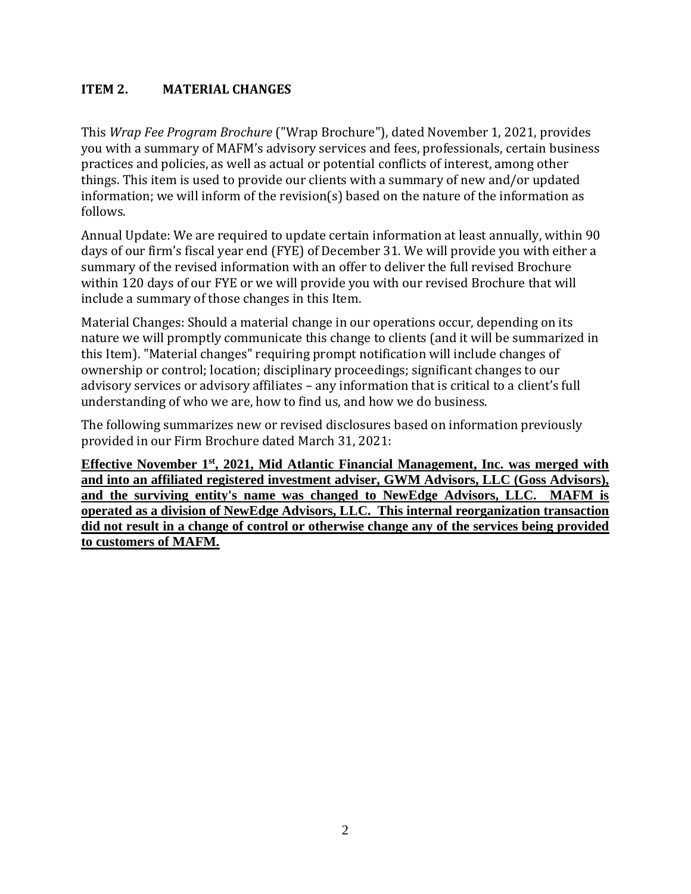## <span id="page-1-0"></span>**ITEM 2. MATERIAL CHANGES**

This *Wrap Fee Program Brochure* ("Wrap Brochure"), dated November 1, 2021, provides you with a summary of MAFM's advisory services and fees, professionals, certain business practices and policies, as well as actual or potential conflicts of interest, among other things. This item is used to provide our clients with a summary of new and/or updated information; we will inform of the revision(s) based on the nature of the information as follows.

Annual Update: We are required to update certain information at least annually, within 90 days of our firm's fiscal year end (FYE) of December 31. We will provide you with either a summary of the revised information with an offer to deliver the full revised Brochure within 120 days of our FYE or we will provide you with our revised Brochure that will include a summary of those changes in this Item.

Material Changes: Should a material change in our operations occur, depending on its nature we will promptly communicate this change to clients (and it will be summarized in this Item). "Material changes" requiring prompt notification will include changes of ownership or control; location; disciplinary proceedings; significant changes to our advisory services or advisory affiliates – any information that is critical to a client's full understanding of who we are, how to find us, and how we do business.

The following summarizes new or revised disclosures based on information previously provided in our Firm Brochure dated March 31, 2021:

<span id="page-1-1"></span>**Effective November 1st, 2021, Mid Atlantic Financial Management, Inc. was merged with and into an affiliated registered investment adviser, GWM Advisors, LLC (Goss Advisors), and the surviving entity's name was changed to NewEdge Advisors, LLC. MAFM is operated as a division of NewEdge Advisors, LLC. This internal reorganization transaction did not result in a change of control or otherwise change any of the services being provided to customers of MAFM.**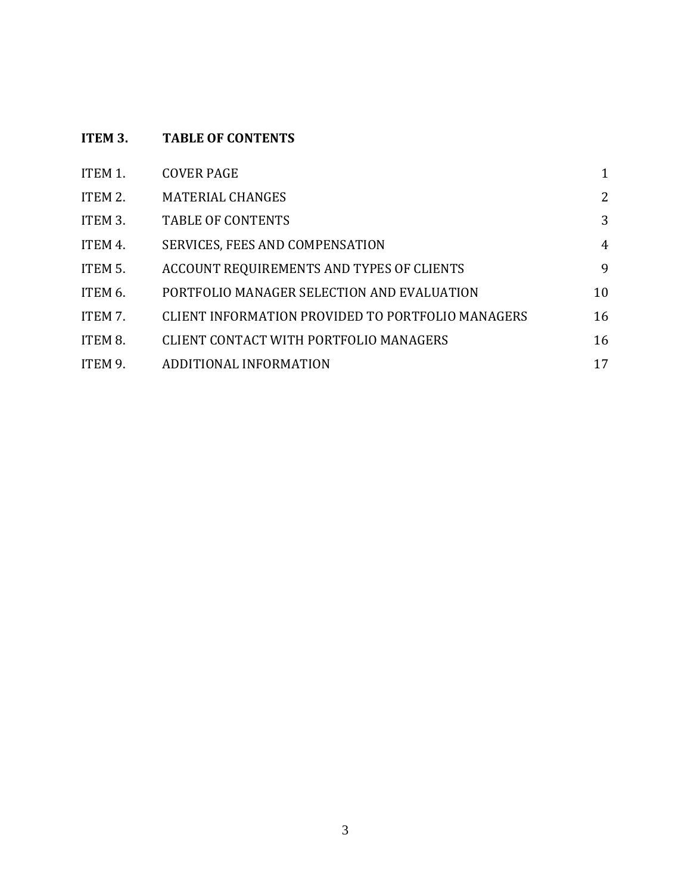# **ITEM 3. TABLE OF CONTENTS**

| ITEM 1. | <b>COVER PAGE</b>                                 |    |
|---------|---------------------------------------------------|----|
| ITEM 2. | <b>MATERIAL CHANGES</b>                           | 2  |
| ITEM 3. | <b>TABLE OF CONTENTS</b>                          | 3  |
| ITEM 4. | <b>SERVICES, FEES AND COMPENSATION</b>            | 4  |
| ITEM 5. | ACCOUNT REQUIREMENTS AND TYPES OF CLIENTS         | 9  |
| ITEM 6. | PORTFOLIO MANAGER SELECTION AND EVALUATION        | 10 |
| ITEM 7. | CLIENT INFORMATION PROVIDED TO PORTFOLIO MANAGERS | 16 |
| ITEM 8. | <b>CLIENT CONTACT WITH PORTFOLIO MANAGERS</b>     | 16 |
| ITEM 9. | ADDITIONAL INFORMATION                            | 17 |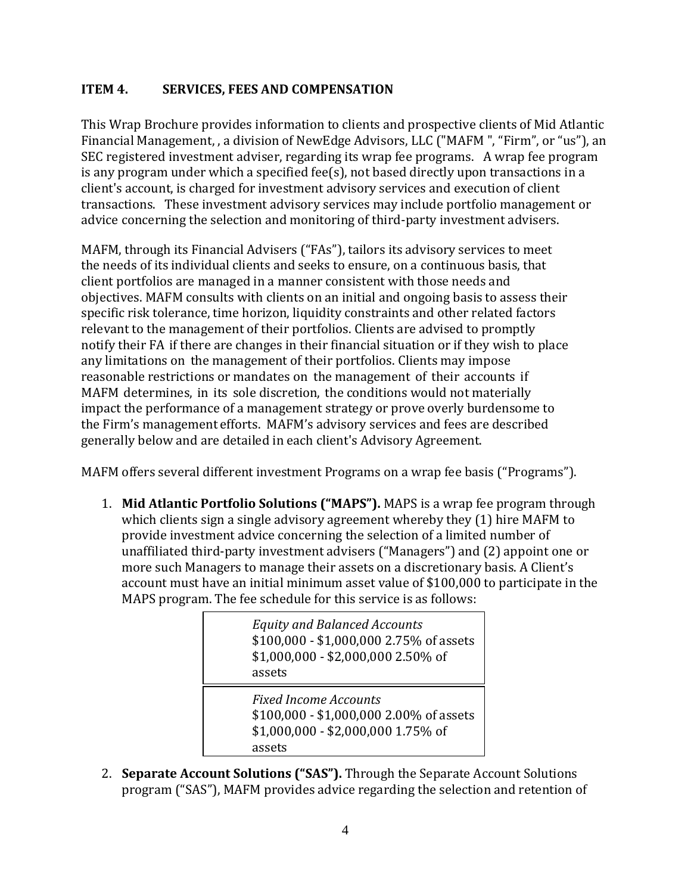## <span id="page-3-0"></span>**ITEM 4. SERVICES, FEES AND COMPENSATION**

This Wrap Brochure provides information to clients and prospective clients of Mid Atlantic Financial Management, , a division of NewEdge Advisors, LLC ("MAFM ", "Firm", or "us"), an SEC registered investment adviser, regarding its wrap fee programs. A wrap fee program is any program under which a specified fee(s), not based directly upon transactions in a client's account, is charged for investment advisory services and execution of client transactions. These investment advisory services may include portfolio management or advice concerning the selection and monitoring of third-party investment advisers.

MAFM, through its Financial Advisers ("FAs"), tailors its advisory services to meet the needs of its individual clients and seeks to ensure, on a continuous basis, that client portfolios are managed in a manner consistent with those needs and objectives. MAFM consults with clients on an initial and ongoing basis to assess their specific risk tolerance, time horizon, liquidity constraints and other related factors relevant to the management of their portfolios. Clients are advised to promptly notify their FA if there are changes in their financial situation or if they wish to place any limitations on the management of their portfolios. Clients may impose reasonable restrictions or mandates on the management of their accounts if MAFM determines, in its sole discretion, the conditions would not materially impact the performance of a management strategy or prove overly burdensome to the Firm's management efforts. MAFM's advisory services and fees are described generally below and are detailed in each client's Advisory Agreement.

MAFM offers several different investment Programs on a wrap fee basis ("Programs").

1. **Mid Atlantic Portfolio Solutions ("MAPS").** MAPS is a wrap fee program through which clients sign a single advisory agreement whereby they (1) hire MAFM to provide investment advice concerning the selection of a limited number of unaffiliated third-party investment advisers ("Managers") and (2) appoint one or more such Managers to manage their assets on a discretionary basis. A Client's account must have an initial minimum asset value of \$100,000 to participate in the MAPS program. The fee schedule for this service is as follows:

> *Equity and Balanced Accounts* \$100,000 - \$1,000,000 2.75% of assets \$1,000,000 - \$2,000,000 2.50% of assets Over \$2,000,000 2.25% of assets

*Fixed Income Accounts* \$100,000 - \$1,000,000 2.00% of assets \$1,000,000 - \$2,000,000 1.75% of assets

2. **Separate Account Solutions ("SAS").** Through the Separate Account Solutions program ("SAS"), MAFM provides advice regarding the selection and retention of  $\mathcal{L}(\mathcal{A}) = \mathcal{L}(\mathcal{A}) \cdot \mathcal{A}(\mathcal{A})$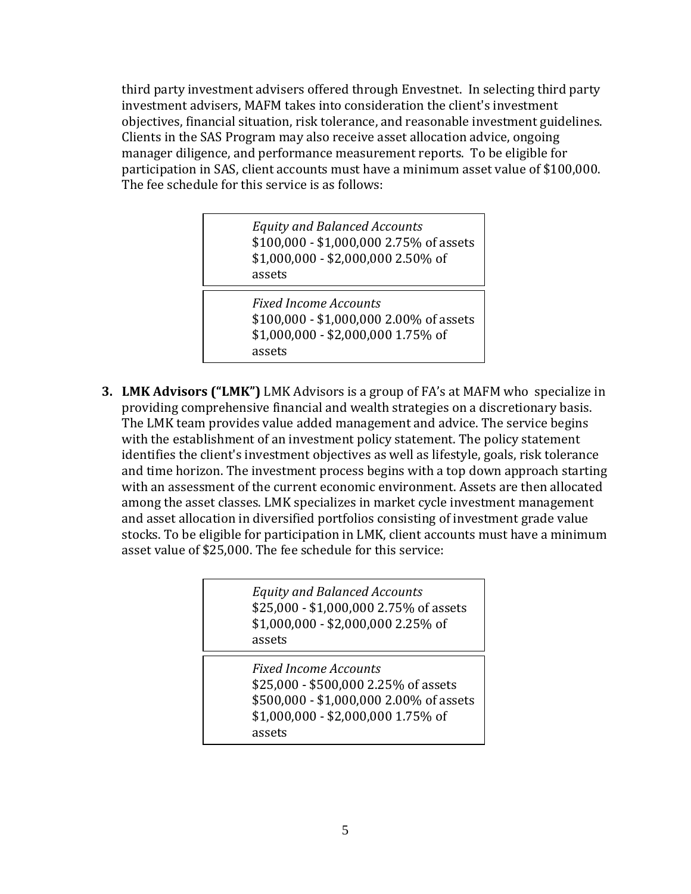third party investment advisers offered through Envestnet. In selecting third party investment advisers, MAFM takes into consideration the client's investment objectives, financial situation, risk tolerance, and reasonable investment guidelines. Clients in the SAS Program may also receive asset allocation advice, ongoing manager diligence, and performance measurement reports. To be eligible for participation in SAS, client accounts must have a minimum asset value of \$100,000. The fee schedule for this service is as follows:

> *Equity and Balanced Accounts* \$100,000 - \$1,000,000 2.75% of assets \$1,000,000 - \$2,000,000 2.50% of assets

 $\overline{2,000}$   $\overline{2,000}$   $\overline{2,000}$   $\overline{2,000}$   $\overline{2,000}$   $\overline{2,000}$ *Fixed Income Accounts* \$100,000 - \$1,000,000 2.00% of assets \$1,000,000 - \$2,000,000 1.75% of assets

 $\overline{\phantom{a}}$  . The set of assets of assets of assets of assets of assets of assets of assets of assets of assets of assets of assets of assets of assets of assets of assets of assets of assets of assets of assets of assets

**3. LMK Advisors ("LMK")** LMK Advisors is a group of FA's at MAFM who specialize in providing comprehensive financial and wealth strategies on a discretionary basis. The LMK team provides value added management and advice. The service begins with the establishment of an investment policy statement. The policy statement identifies the client's investment objectives as well as lifestyle, goals, risk tolerance and time horizon. The investment process begins with a top down approach starting with an assessment of the current economic environment. Assets are then allocated among the asset classes. LMK specializes in market cycle investment management and asset allocation in diversified portfolios consisting of investment grade value stocks. To be eligible for participation in LMK, client accounts must have a minimum asset value of \$25,000. The fee schedule for this service:

| <b>Equity and Balanced Accounts</b><br>\$25,000 - \$1,000,000 2.75% of assets<br>\$1,000,000 - \$2,000,000 2.25% of<br>assets                                   |
|-----------------------------------------------------------------------------------------------------------------------------------------------------------------|
| <b>Fixed Income Accounts</b><br>\$25,000 - \$500,000 2.25% of assets<br>\$500,000 - \$1,000,000 2.00% of assets<br>\$1,000,000 - \$2,000,000 1.75% of<br>assets |

 $\overline{\mathcal{L}}$  . The sets of assets of assets of assets of assets of assets of assets of assets of assets of assets of assets of assets of assets of assets of assets of assets of assets of assets of assets of assets of asset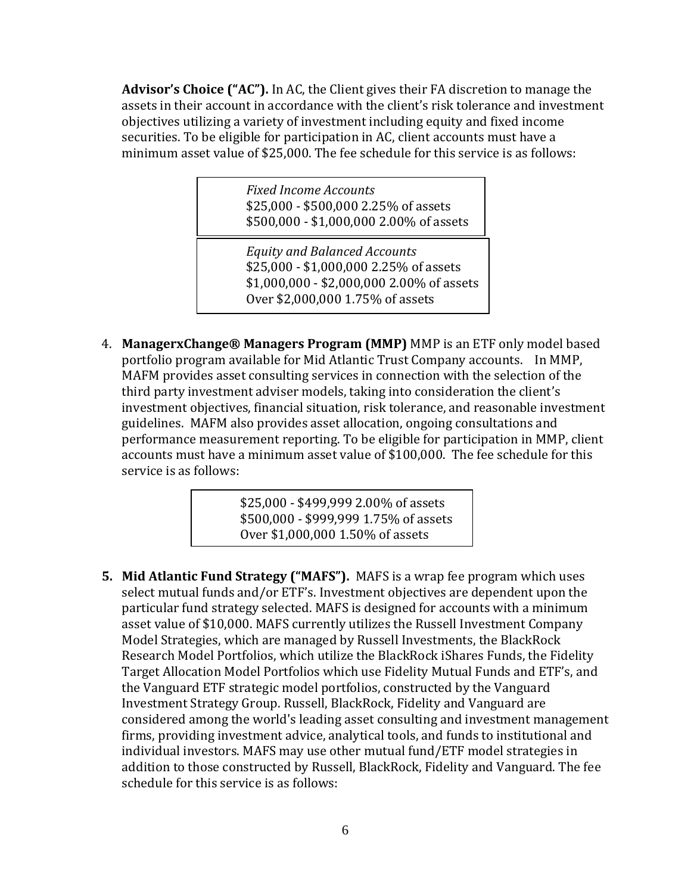**Advisor's Choice ("AC").** In AC, the Client gives their FA discretion to manage the assets in their account in accordance with the client's risk tolerance and investment objectives utilizing a variety of investment including equity and fixed income securities. To be eligible for participation in AC, client accounts must have a minimum asset value of \$25,000. The fee schedule for this service is as follows:

> *Fixed Income Accounts* \$25,000 - \$500,000 2.25% of assets \$500,000 - \$1,000,000 2.00% of assets

Equity and Balanced Accounts \$25,000 - \$1,000,000 2.25% of assets \$1,000,000 - \$2,000,000 2.00% of assets Over \$2,000,000 1.75% of assets \$1,000,000 - \$2,000,000 1.75% of assets

1

4. **ManagerxChange® Managers Program (MMP)** MMP is an ETF only model based portfolio program available for Mid Atlantic Trust Company accounts. In MMP, MAFM provides asset consulting services in connection with the selection of the third party investment adviser models, taking into consideration the client's investment objectives, financial situation, risk tolerance, and reasonable investment guidelines. MAFM also provides asset allocation, ongoing consultations and performance measurement reporting. To be eligible for participation in MMP, client accounts must have a minimum asset value of \$100,000. The fee schedule for this service is as follows:

> \$25,000 - \$499,999 2.00% of assets \$500,000 - \$999,999 1.75% of assets Over \$1,000,000 1.50% of assets

**5. Mid Atlantic Fund Strategy ("MAFS").** MAFS is a wrap fee program which uses select mutual funds and/or ETF's. Investment objectives are dependent upon the particular fund strategy selected. MAFS is designed for accounts with a minimum asset value of \$10,000. MAFS currently utilizes the Russell Investment Company Model Strategies, which are managed by Russell Investments, the BlackRock Research Model Portfolios, which utilize the BlackRock iShares Funds, the Fidelity Target Allocation Model Portfolios which use Fidelity Mutual Funds and ETF's, and the Vanguard ETF strategic model portfolios, constructed by the Vanguard Investment Strategy Group. Russell, BlackRock, Fidelity and Vanguard are considered among the world's leading asset consulting and investment management firms, providing investment advice, analytical tools, and funds to institutional and individual investors. MAFS may use other mutual fund/ETF model strategies in addition to those constructed by Russell, BlackRock, Fidelity and Vanguard. The fee schedule for this service is as follows: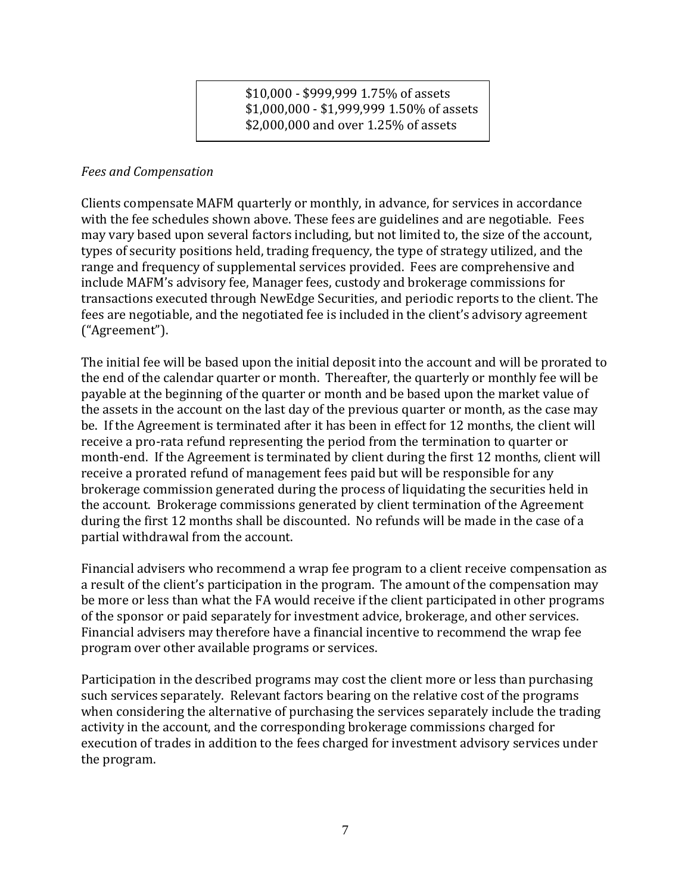\$10,000 - \$999,999 1.75% of assets \$1,000,000 - \$1,999,999 1.50% of assets \$2,000,000 and over 1.25% of assets

#### *Fees and Compensation*

Clients compensate MAFM quarterly or monthly, in advance, for services in accordance with the fee schedules shown above. These fees are guidelines and are negotiable. Fees may vary based upon several factors including, but not limited to, the size of the account, types of security positions held, trading frequency, the type of strategy utilized, and the range and frequency of supplemental services provided. Fees are comprehensive and include MAFM's advisory fee, Manager fees, custody and brokerage commissions for transactions executed through NewEdge Securities, and periodic reports to the client. The fees are negotiable, and the negotiated fee is included in the client's advisory agreement ("Agreement").

The initial fee will be based upon the initial deposit into the account and will be prorated to the end of the calendar quarter or month. Thereafter, the quarterly or monthly fee will be payable at the beginning of the quarter or month and be based upon the market value of the assets in the account on the last day of the previous quarter or month, as the case may be. If the Agreement is terminated after it has been in effect for 12 months, the client will receive a pro-rata refund representing the period from the termination to quarter or month-end. If the Agreement is terminated by client during the first 12 months, client will receive a prorated refund of management fees paid but will be responsible for any brokerage commission generated during the process of liquidating the securities held in the account. Brokerage commissions generated by client termination of the Agreement during the first 12 months shall be discounted. No refunds will be made in the case of a partial withdrawal from the account.

Financial advisers who recommend a wrap fee program to a client receive compensation as a result of the client's participation in the program. The amount of the compensation may be more or less than what the FA would receive if the client participated in other programs of the sponsor or paid separately for investment advice, brokerage, and other services. Financial advisers may therefore have a financial incentive to recommend the wrap fee program over other available programs or services.

Participation in the described programs may cost the client more or less than purchasing such services separately. Relevant factors bearing on the relative cost of the programs when considering the alternative of purchasing the services separately include the trading activity in the account, and the corresponding brokerage commissions charged for execution of trades in addition to the fees charged for investment advisory services under the program.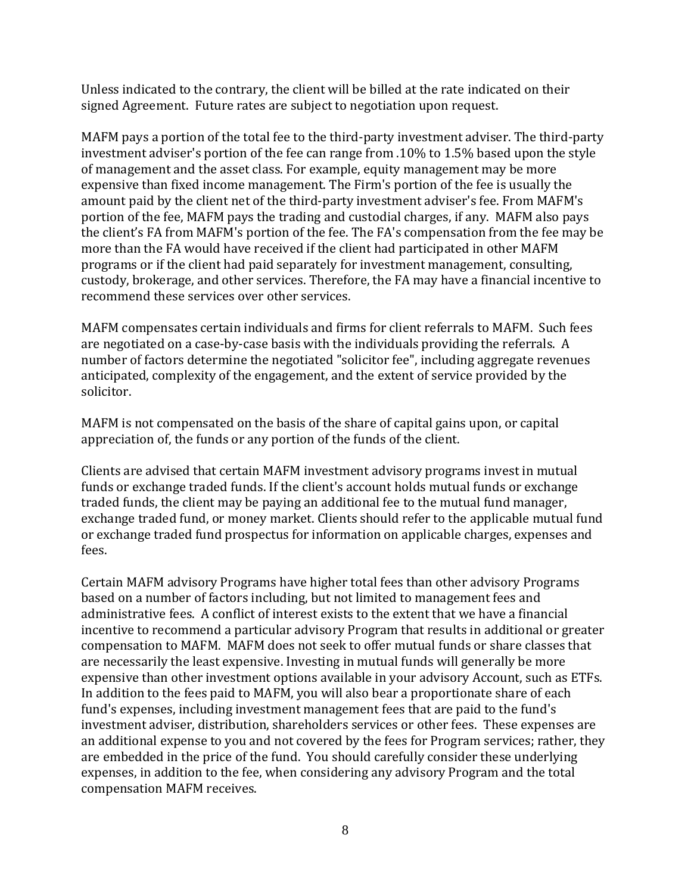Unless indicated to the contrary, the client will be billed at the rate indicated on their signed Agreement. Future rates are subject to negotiation upon request.

MAFM pays a portion of the total fee to the third-party investment adviser. The third-party investment adviser's portion of the fee can range from .10% to 1.5% based upon the style of management and the asset class. For example, equity management may be more expensive than fixed income management. The Firm's portion of the fee is usually the amount paid by the client net of the third-party investment adviser's fee. From MAFM's portion of the fee, MAFM pays the trading and custodial charges, if any. MAFM also pays the client's FA from MAFM's portion of the fee. The FA's compensation from the fee may be more than the FA would have received if the client had participated in other MAFM programs or if the client had paid separately for investment management, consulting, custody, brokerage, and other services. Therefore, the FA may have a financial incentive to recommend these services over other services.

MAFM compensates certain individuals and firms for client referrals to MAFM. Such fees are negotiated on a case-by-case basis with the individuals providing the referrals. A number of factors determine the negotiated "solicitor fee", including aggregate revenues anticipated, complexity of the engagement, and the extent of service provided by the solicitor.

MAFM is not compensated on the basis of the share of capital gains upon, or capital appreciation of, the funds or any portion of the funds of the client.

Clients are advised that certain MAFM investment advisory programs invest in mutual funds or exchange traded funds. If the client's account holds mutual funds or exchange traded funds, the client may be paying an additional fee to the mutual fund manager, exchange traded fund, or money market. Clients should refer to the applicable mutual fund or exchange traded fund prospectus for information on applicable charges, expenses and fees.

Certain MAFM advisory Programs have higher total fees than other advisory Programs based on a number of factors including, but not limited to management fees and administrative fees. A conflict of interest exists to the extent that we have a financial incentive to recommend a particular advisory Program that results in additional or greater compensation to MAFM. MAFM does not seek to offer mutual funds or share classes that are necessarily the least expensive. Investing in mutual funds will generally be more expensive than other investment options available in your advisory Account, such as ETFs. In addition to the fees paid to MAFM, you will also bear a proportionate share of each fund's expenses, including investment management fees that are paid to the fund's investment adviser, distribution, shareholders services or other fees. These expenses are an additional expense to you and not covered by the fees for Program services; rather, they are embedded in the price of the fund. You should carefully consider these underlying expenses, in addition to the fee, when considering any advisory Program and the total compensation MAFM receives.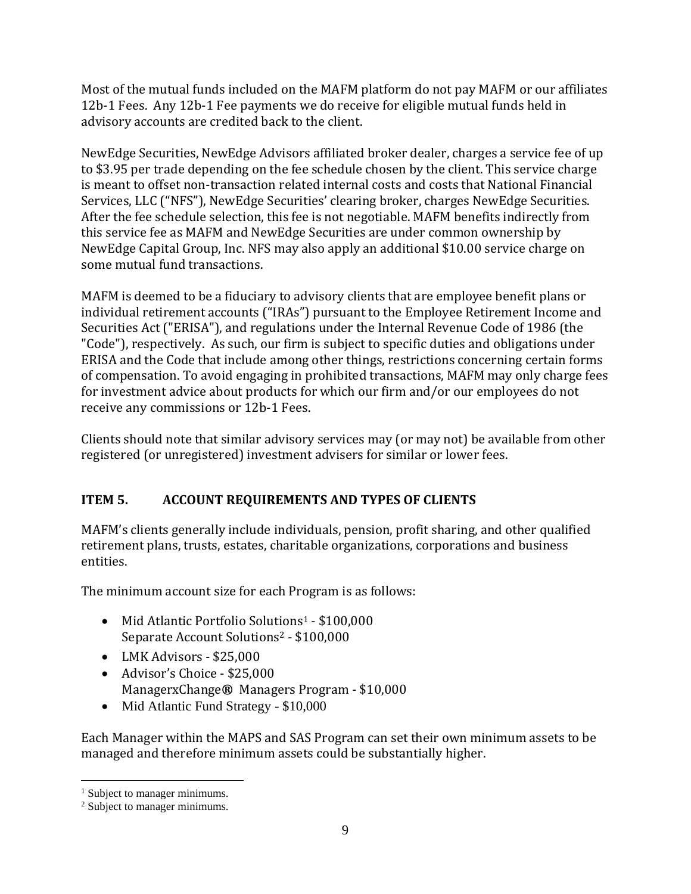Most of the mutual funds included on the MAFM platform do not pay MAFM or our affiliates 12b-1 Fees. Any 12b-1 Fee payments we do receive for eligible mutual funds held in advisory accounts are credited back to the client.

NewEdge Securities, NewEdge Advisors affiliated broker dealer, charges a service fee of up to \$3.95 per trade depending on the fee schedule chosen by the client. This service charge is meant to offset non-transaction related internal costs and costs that National Financial Services, LLC ("NFS"), NewEdge Securities' clearing broker, charges NewEdge Securities. After the fee schedule selection, this fee is not negotiable. MAFM benefits indirectly from this service fee as MAFM and NewEdge Securities are under common ownership by NewEdge Capital Group, Inc. NFS may also apply an additional \$10.00 service charge on some mutual fund transactions.

MAFM is deemed to be a fiduciary to advisory clients that are employee benefit plans or individual retirement accounts ("IRAs") pursuant to the Employee Retirement Income and Securities Act ("ERISA"), and regulations under the Internal Revenue Code of 1986 (the "Code"), respectively. As such, our firm is subject to specific duties and obligations under ERISA and the Code that include among other things, restrictions concerning certain forms of compensation. To avoid engaging in prohibited transactions, MAFM may only charge fees for investment advice about products for which our firm and/or our employees do not receive any commissions or 12b-1 Fees.

Clients should note that similar advisory services may (or may not) be available from other registered (or unregistered) investment advisers for similar or lower fees.

# <span id="page-8-0"></span>**ITEM 5. ACCOUNT REQUIREMENTS AND TYPES OF CLIENTS**

MAFM's clients generally include individuals, pension, profit sharing, and other qualified retirement plans, trusts, estates, charitable organizations, corporations and business entities.

The minimum account size for each Program is as follows:

- Mid Atlantic Portfolio Solutions<sup>1</sup> \$100,000 Separate Account Solutions<sup>2</sup> - \$100,000
- LMK Advisors \$25,000
- Advisor's Choice \$25,000 ManagerxChange**®** Managers Program - \$10,000
- Mid Atlantic Fund Strategy \$10,000

Each Manager within the MAPS and SAS Program can set their own minimum assets to be managed and therefore minimum assets could be substantially higher.

<sup>&</sup>lt;sup>1</sup> Subject to manager minimums.

<sup>2</sup> Subject to manager minimums.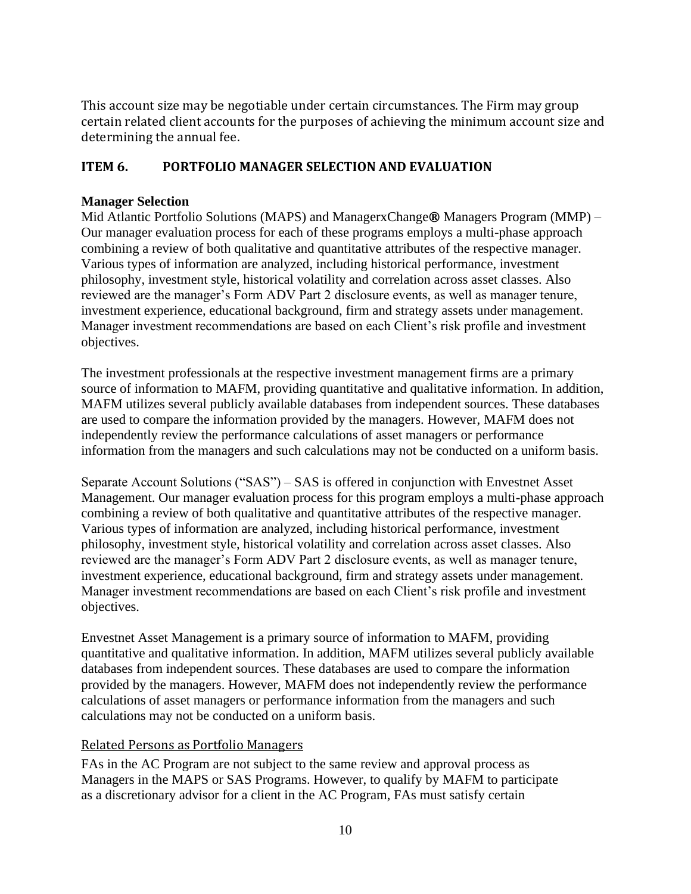This account size may be negotiable under certain circumstances. The Firm may group certain related client accounts for the purposes of achieving the minimum account size and determining the annual fee.

## <span id="page-9-0"></span>**ITEM 6. PORTFOLIO MANAGER SELECTION AND EVALUATION**

#### <span id="page-9-1"></span>**Manager Selection**

Mid Atlantic Portfolio Solutions (MAPS) and ManagerxChange**®** Managers Program (MMP) – Our manager evaluation process for each of these programs employs a multi-phase approach combining a review of both qualitative and quantitative attributes of the respective manager. Various types of information are analyzed, including historical performance, investment philosophy, investment style, historical volatility and correlation across asset classes. Also reviewed are the manager's Form ADV Part 2 disclosure events, as well as manager tenure, investment experience, educational background, firm and strategy assets under management. Manager investment recommendations are based on each Client's risk profile and investment objectives.

The investment professionals at the respective investment management firms are a primary source of information to MAFM, providing quantitative and qualitative information. In addition, MAFM utilizes several publicly available databases from independent sources. These databases are used to compare the information provided by the managers. However, MAFM does not independently review the performance calculations of asset managers or performance information from the managers and such calculations may not be conducted on a uniform basis.

Separate Account Solutions ("SAS") – SAS is offered in conjunction with Envestnet Asset Management. Our manager evaluation process for this program employs a multi-phase approach combining a review of both qualitative and quantitative attributes of the respective manager. Various types of information are analyzed, including historical performance, investment philosophy, investment style, historical volatility and correlation across asset classes. Also reviewed are the manager's Form ADV Part 2 disclosure events, as well as manager tenure, investment experience, educational background, firm and strategy assets under management. Manager investment recommendations are based on each Client's risk profile and investment objectives.

Envestnet Asset Management is a primary source of information to MAFM, providing quantitative and qualitative information. In addition, MAFM utilizes several publicly available databases from independent sources. These databases are used to compare the information provided by the managers. However, MAFM does not independently review the performance calculations of asset managers or performance information from the managers and such calculations may not be conducted on a uniform basis.

#### Related Persons as Portfolio Managers

FAs in the AC Program are not subject to the same review and approval process as Managers in the MAPS or SAS Programs. However, to qualify by MAFM to participate as a discretionary advisor for a client in the AC Program, FAs must satisfy certain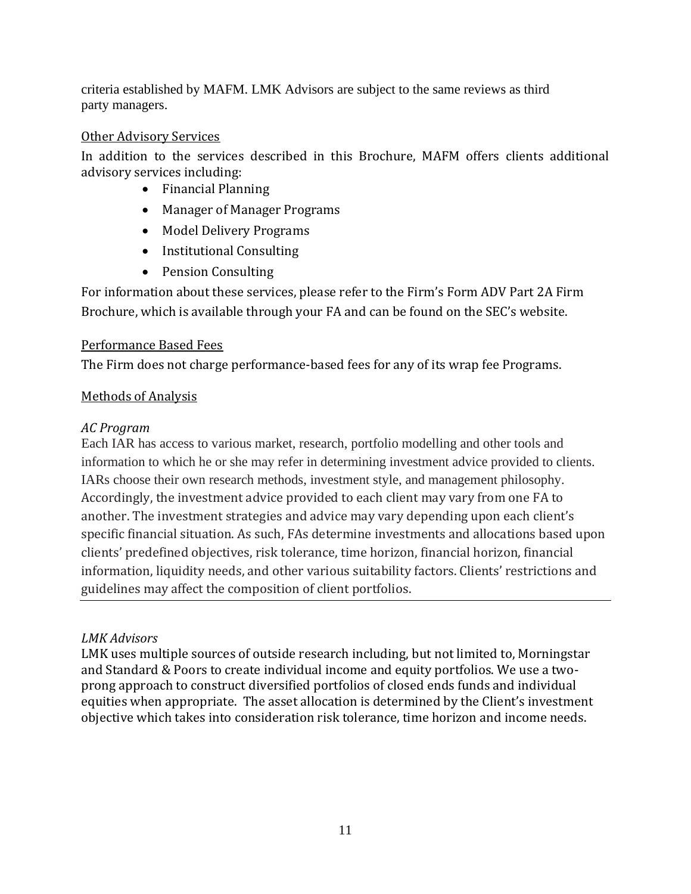criteria established by MAFM. LMK Advisors are subject to the same reviews as third party managers.

## Other Advisory Services

In addition to the services described in this Brochure, MAFM offers clients additional advisory services including:

- Financial Planning
- Manager of Manager Programs
- Model Delivery Programs
- Institutional Consulting
- Pension Consulting

For information about these services, please refer to the Firm's Form ADV Part 2A Firm Brochure, which is available through your FA and can be found on the SEC's website.

## Performance Based Fees

The Firm does not charge performance-based fees for any of its wrap fee Programs.

# Methods of Analysis

# *AC Program*

Each IAR has access to various market, research, portfolio modelling and other tools and information to which he or she may refer in determining investment advice provided to clients. IARs choose their own research methods, investment style, and management philosophy. Accordingly, the investment advice provided to each client may vary from one FA to another. The investment strategies and advice may vary depending upon each client's specific financial situation. As such, FAs determine investments and allocations based upon clients' predefined objectives, risk tolerance, time horizon, financial horizon, financial information, liquidity needs, and other various suitability factors. Clients' restrictions and guidelines may affect the composition of client portfolios.

## *LMK Advisors*

LMK uses multiple sources of outside research including, but not limited to, Morningstar and Standard & Poors to create individual income and equity portfolios. We use a twoprong approach to construct diversified portfolios of closed ends funds and individual equities when appropriate. The asset allocation is determined by the Client's investment objective which takes into consideration risk tolerance, time horizon and income needs.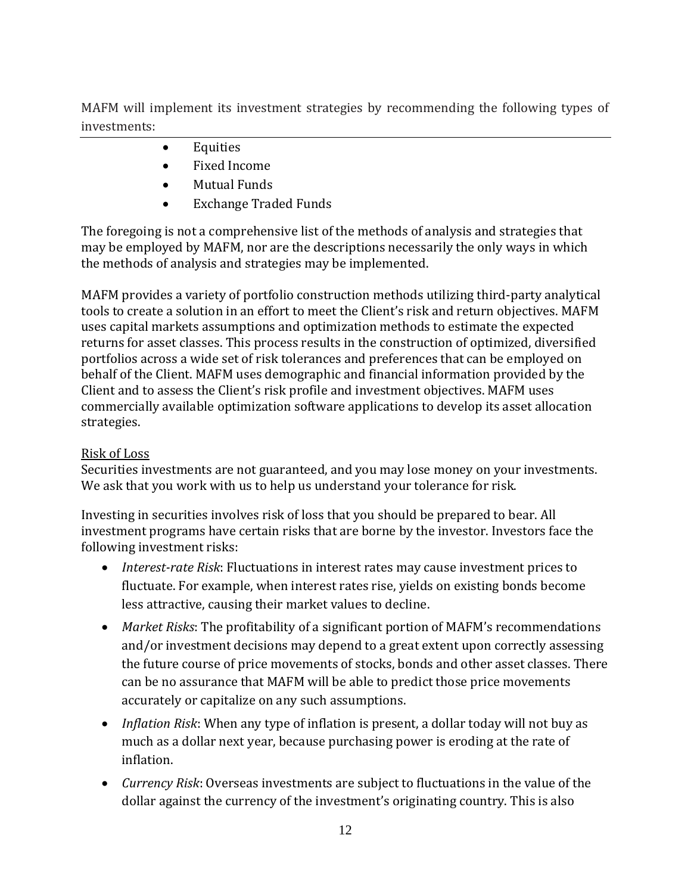MAFM will implement its investment strategies by recommending the following types of investments:

- Equities
- Fixed Income
- Mutual Funds
- Exchange Traded Funds

The foregoing is not a comprehensive list of the methods of analysis and strategies that may be employed by MAFM, nor are the descriptions necessarily the only ways in which the methods of analysis and strategies may be implemented.

MAFM provides a variety of portfolio construction methods utilizing third-party analytical tools to create a solution in an effort to meet the Client's risk and return objectives. MAFM uses capital markets assumptions and optimization methods to estimate the expected returns for asset classes. This process results in the construction of optimized, diversified portfolios across a wide set of risk tolerances and preferences that can be employed on behalf of the Client. MAFM uses demographic and financial information provided by the Client and to assess the Client's risk profile and investment objectives. MAFM uses commercially available optimization software applications to develop its asset allocation strategies.

## Risk of Loss

Securities investments are not guaranteed, and you may lose money on your investments. We ask that you work with us to help us understand your tolerance for risk.

Investing in securities involves risk of loss that you should be prepared to bear. All investment programs have certain risks that are borne by the investor. Investors face the following investment risks:

- *Interest-rate Risk*: Fluctuations in interest rates may cause investment prices to fluctuate. For example, when interest rates rise, yields on existing bonds become less attractive, causing their market values to decline.
- *Market Risks*: The profitability of a significant portion of MAFM's recommendations and/or investment decisions may depend to a great extent upon correctly assessing the future course of price movements of stocks, bonds and other asset classes. There can be no assurance that MAFM will be able to predict those price movements accurately or capitalize on any such assumptions.
- *Inflation Risk*: When any type of inflation is present, a dollar today will not buy as much as a dollar next year, because purchasing power is eroding at the rate of inflation.
- *Currency Risk*: Overseas investments are subject to fluctuations in the value of the dollar against the currency of the investment's originating country. This is also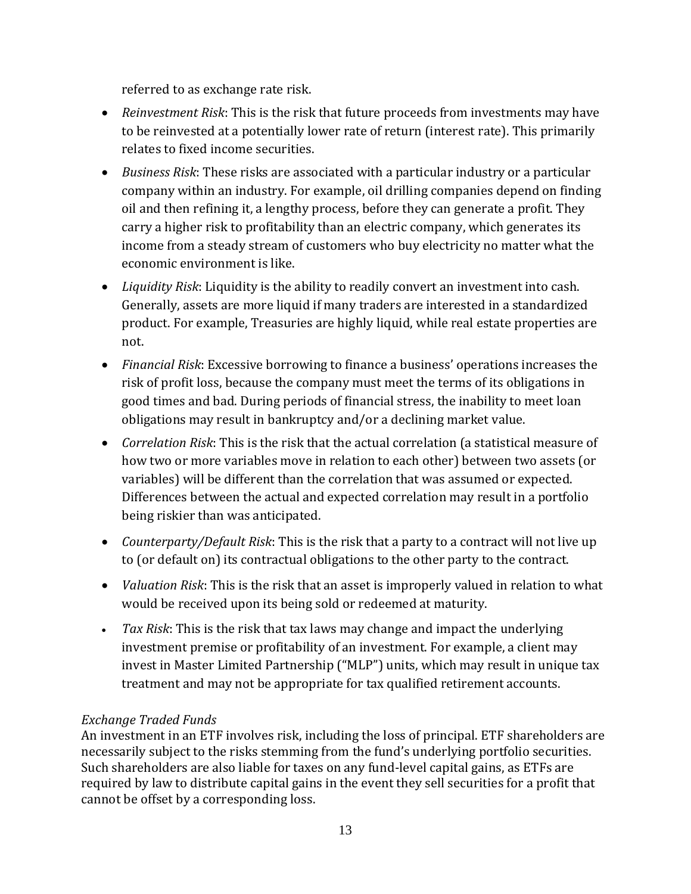referred to as exchange rate risk.

- *Reinvestment Risk*: This is the risk that future proceeds from investments may have to be reinvested at a potentially lower rate of return (interest rate). This primarily relates to fixed income securities.
- *Business Risk*: These risks are associated with a particular industry or a particular company within an industry. For example, oil drilling companies depend on finding oil and then refining it, a lengthy process, before they can generate a profit. They carry a higher risk to profitability than an electric company, which generates its income from a steady stream of customers who buy electricity no matter what the economic environment is like.
- *Liquidity Risk*: Liquidity is the ability to readily convert an investment into cash. Generally, assets are more liquid if many traders are interested in a standardized product. For example, Treasuries are highly liquid, while real estate properties are not.
- *Financial Risk*: Excessive borrowing to finance a business' operations increases the risk of profit loss, because the company must meet the terms of its obligations in good times and bad. During periods of financial stress, the inability to meet loan obligations may result in bankruptcy and/or a declining market value.
- *Correlation Risk*: This is the risk that the actual correlation (a statistical measure of how two or more variables move in relation to each other) between two assets (or variables) will be different than the correlation that was assumed or expected. Differences between the actual and expected correlation may result in a portfolio being riskier than was anticipated.
- *Counterparty/Default Risk*: This is the risk that a party to a contract will not live up to (or default on) its contractual obligations to the other party to the contract.
- *Valuation Risk*: This is the risk that an asset is improperly valued in relation to what would be received upon its being sold or redeemed at maturity.
- *Tax Risk*: This is the risk that tax laws may change and impact the underlying investment premise or profitability of an investment. For example, a client may invest in Master Limited Partnership ("MLP") units, which may result in unique tax treatment and may not be appropriate for tax qualified retirement accounts.

# *Exchange Traded Funds*

An investment in an ETF involves risk, including the loss of principal. ETF shareholders are necessarily subject to the risks stemming from the fund's underlying portfolio securities. Such shareholders are also liable for taxes on any fund-level capital gains, as ETFs are required by law to distribute capital gains in the event they sell securities for a profit that cannot be offset by a corresponding loss.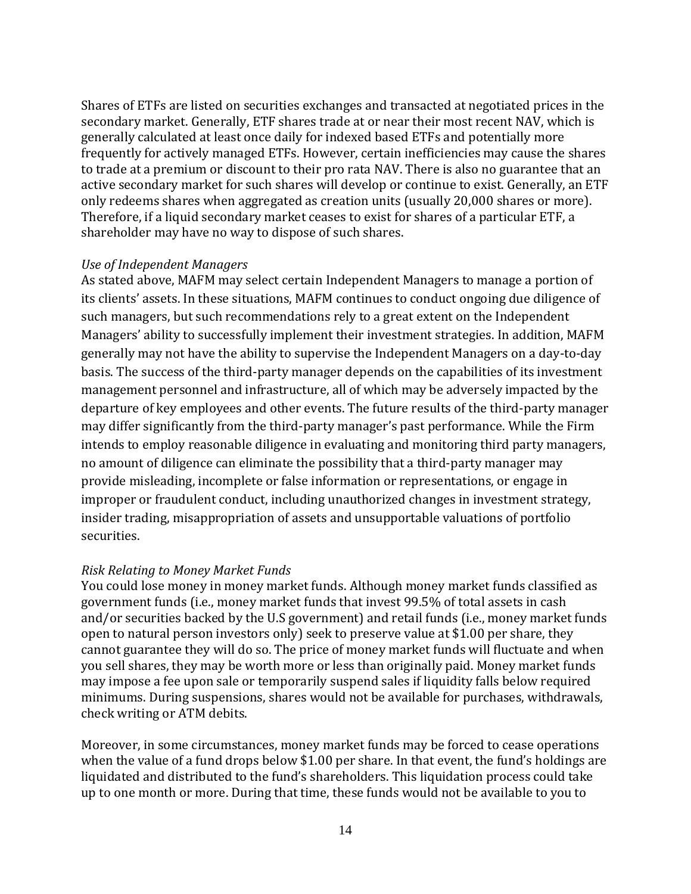Shares of ETFs are listed on securities exchanges and transacted at negotiated prices in the secondary market. Generally, ETF shares trade at or near their most recent NAV, which is generally calculated at least once daily for indexed based ETFs and potentially more frequently for actively managed ETFs. However, certain inefficiencies may cause the shares to trade at a premium or discount to their pro rata NAV. There is also no guarantee that an active secondary market for such shares will develop or continue to exist. Generally, an ETF only redeems shares when aggregated as creation units (usually 20,000 shares or more). Therefore, if a liquid secondary market ceases to exist for shares of a particular ETF, a shareholder may have no way to dispose of such shares.

#### *Use of Independent Managers*

As stated above, MAFM may select certain Independent Managers to manage a portion of its clients' assets. In these situations, MAFM continues to conduct ongoing due diligence of such managers, but such recommendations rely to a great extent on the Independent Managers' ability to successfully implement their investment strategies. In addition, MAFM generally may not have the ability to supervise the Independent Managers on a day-to-day basis. The success of the third-party manager depends on the capabilities of its investment management personnel and infrastructure, all of which may be adversely impacted by the departure of key employees and other events. The future results of the third-party manager may differ significantly from the third-party manager's past performance. While the Firm intends to employ reasonable diligence in evaluating and monitoring third party managers, no amount of diligence can eliminate the possibility that a third-party manager may provide misleading, incomplete or false information or representations, or engage in improper or fraudulent conduct, including unauthorized changes in investment strategy, insider trading, misappropriation of assets and unsupportable valuations of portfolio securities.

#### *Risk Relating to Money Market Funds*

You could lose money in money market funds. Although money market funds classified as government funds (i.e., money market funds that invest 99.5% of total assets in cash and/or securities backed by the U.S government) and retail funds (i.e., money market funds open to natural person investors only) seek to preserve value at \$1.00 per share, they cannot guarantee they will do so. The price of money market funds will fluctuate and when you sell shares, they may be worth more or less than originally paid. Money market funds may impose a fee upon sale or temporarily suspend sales if liquidity falls below required minimums. During suspensions, shares would not be available for purchases, withdrawals, check writing or ATM debits.

Moreover, in some circumstances, money market funds may be forced to cease operations when the value of a fund drops below \$1.00 per share. In that event, the fund's holdings are liquidated and distributed to the fund's shareholders. This liquidation process could take up to one month or more. During that time, these funds would not be available to you to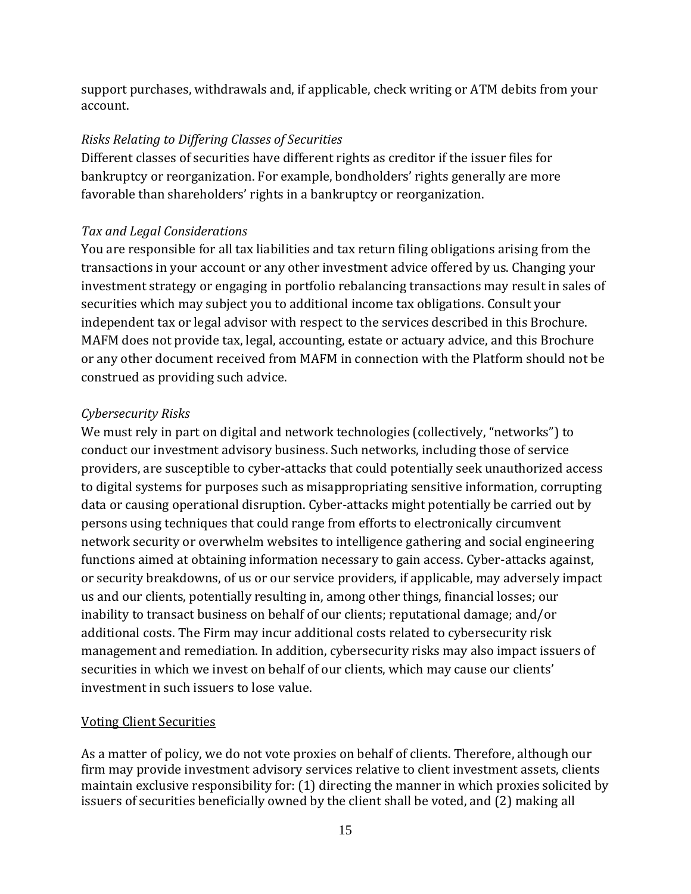support purchases, withdrawals and, if applicable, check writing or ATM debits from your account.

#### *Risks Relating to Differing Classes of Securities*

Different classes of securities have different rights as creditor if the issuer files for bankruptcy or reorganization. For example, bondholders' rights generally are more favorable than shareholders' rights in a bankruptcy or reorganization.

## *Tax and Legal Considerations*

You are responsible for all tax liabilities and tax return filing obligations arising from the transactions in your account or any other investment advice offered by us. Changing your investment strategy or engaging in portfolio rebalancing transactions may result in sales of securities which may subject you to additional income tax obligations. Consult your independent tax or legal advisor with respect to the services described in this Brochure. MAFM does not provide tax, legal, accounting, estate or actuary advice, and this Brochure or any other document received from MAFM in connection with the Platform should not be construed as providing such advice.

## *Cybersecurity Risks*

We must rely in part on digital and network technologies (collectively, "networks") to conduct our investment advisory business. Such networks, including those of service providers, are susceptible to cyber-attacks that could potentially seek unauthorized access to digital systems for purposes such as misappropriating sensitive information, corrupting data or causing operational disruption. Cyber-attacks might potentially be carried out by persons using techniques that could range from efforts to electronically circumvent network security or overwhelm websites to intelligence gathering and social engineering functions aimed at obtaining information necessary to gain access. Cyber-attacks against, or security breakdowns, of us or our service providers, if applicable, may adversely impact us and our clients, potentially resulting in, among other things, financial losses; our inability to transact business on behalf of our clients; reputational damage; and/or additional costs. The Firm may incur additional costs related to cybersecurity risk management and remediation. In addition, cybersecurity risks may also impact issuers of securities in which we invest on behalf of our clients, which may cause our clients' investment in such issuers to lose value.

#### Voting Client Securities

As a matter of policy, we do not vote proxies on behalf of clients. Therefore, although our firm may provide investment advisory services relative to client investment assets, clients maintain exclusive responsibility for: (1) directing the manner in which proxies solicited by issuers of securities beneficially owned by the client shall be voted, and (2) making all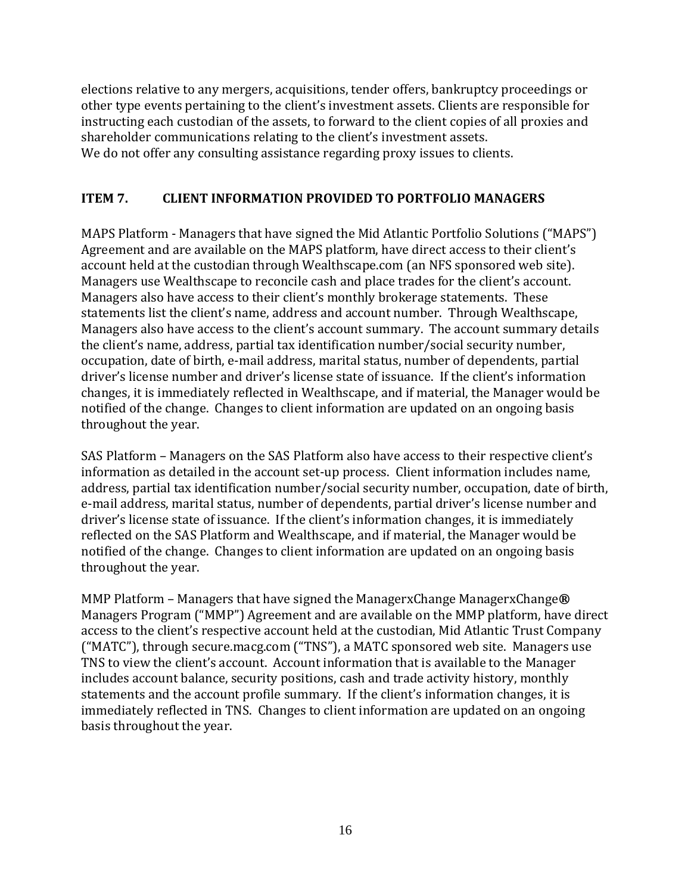elections relative to any mergers, acquisitions, tender offers, bankruptcy proceedings or other type events pertaining to the client's investment assets. Clients are responsible for instructing each custodian of the assets, to forward to the client copies of all proxies and shareholder communications relating to the client's investment assets. We do not offer any consulting assistance regarding proxy issues to clients.

## **ITEM 7. CLIENT INFORMATION PROVIDED TO PORTFOLIO MANAGERS**

MAPS Platform - Managers that have signed the Mid Atlantic Portfolio Solutions ("MAPS") Agreement and are available on the MAPS platform, have direct access to their client's account held at the custodian through Wealthscape.com (an NFS sponsored web site). Managers use Wealthscape to reconcile cash and place trades for the client's account. Managers also have access to their client's monthly brokerage statements. These statements list the client's name, address and account number. Through Wealthscape, Managers also have access to the client's account summary. The account summary details the client's name, address, partial tax identification number/social security number, occupation, date of birth, e-mail address, marital status, number of dependents, partial driver's license number and driver's license state of issuance. If the client's information changes, it is immediately reflected in Wealthscape, and if material, the Manager would be notified of the change. Changes to client information are updated on an ongoing basis throughout the year.

SAS Platform – Managers on the SAS Platform also have access to their respective client's information as detailed in the account set-up process. Client information includes name, address, partial tax identification number/social security number, occupation, date of birth, e-mail address, marital status, number of dependents, partial driver's license number and driver's license state of issuance. If the client's information changes, it is immediately reflected on the SAS Platform and Wealthscape, and if material, the Manager would be notified of the change. Changes to client information are updated on an ongoing basis throughout the year.

MMP Platform – Managers that have signed the ManagerxChange ManagerxChange**®**  Managers Program ("MMP") Agreement and are available on the MMP platform, have direct access to the client's respective account held at the custodian, Mid Atlantic Trust Company ("MATC"), through secure.macg.com ("TNS"), a MATC sponsored web site. Managers use TNS to view the client's account. Account information that is available to the Manager includes account balance, security positions, cash and trade activity history, monthly statements and the account profile summary. If the client's information changes, it is immediately reflected in TNS. Changes to client information are updated on an ongoing basis throughout the year.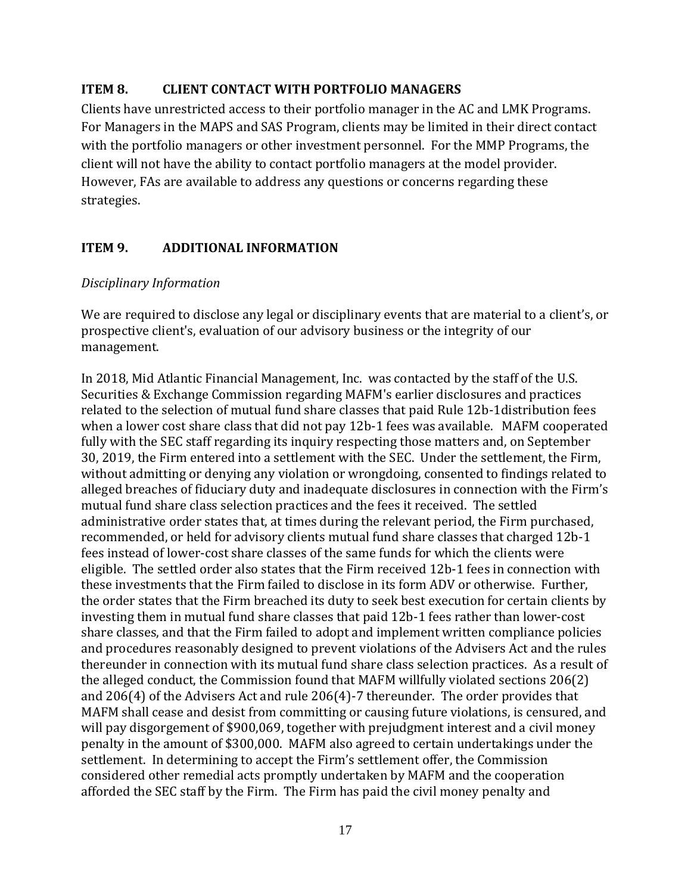## <span id="page-16-0"></span>**ITEM 8. CLIENT CONTACT WITH PORTFOLIO MANAGERS**

Clients have unrestricted access to their portfolio manager in the AC and LMK Programs. For Managers in the MAPS and SAS Program, clients may be limited in their direct contact with the portfolio managers or other investment personnel. For the MMP Programs, the client will not have the ability to contact portfolio managers at the model provider. However, FAs are available to address any questions or concerns regarding these strategies.

## <span id="page-16-1"></span>**ITEM 9. ADDITIONAL INFORMATION**

#### *Disciplinary Information*

We are required to disclose any legal or disciplinary events that are material to a client's, or prospective client's, evaluation of our advisory business or the integrity of our management.

In 2018, Mid Atlantic Financial Management, Inc. was contacted by the staff of the U.S. Securities & Exchange Commission regarding MAFM's earlier disclosures and practices related to the selection of mutual fund share classes that paid Rule 12b-1distribution fees when a lower cost share class that did not pay 12b-1 fees was available. MAFM cooperated fully with the SEC staff regarding its inquiry respecting those matters and, on September 30, 2019, the Firm entered into a settlement with the SEC. Under the settlement, the Firm, without admitting or denying any violation or wrongdoing, consented to findings related to alleged breaches of fiduciary duty and inadequate disclosures in connection with the Firm's mutual fund share class selection practices and the fees it received. The settled administrative order states that, at times during the relevant period, the Firm purchased, recommended, or held for advisory clients mutual fund share classes that charged 12b-1 fees instead of lower-cost share classes of the same funds for which the clients were eligible. The settled order also states that the Firm received 12b-1 fees in connection with these investments that the Firm failed to disclose in its form ADV or otherwise. Further, the order states that the Firm breached its duty to seek best execution for certain clients by investing them in mutual fund share classes that paid 12b-1 fees rather than lower-cost share classes, and that the Firm failed to adopt and implement written compliance policies and procedures reasonably designed to prevent violations of the Advisers Act and the rules thereunder in connection with its mutual fund share class selection practices. As a result of the alleged conduct, the Commission found that MAFM willfully violated sections 206(2) and 206(4) of the Advisers Act and rule 206(4)-7 thereunder. The order provides that MAFM shall cease and desist from committing or causing future violations, is censured, and will pay disgorgement of \$900,069, together with prejudgment interest and a civil money penalty in the amount of \$300,000. MAFM also agreed to certain undertakings under the settlement. In determining to accept the Firm's settlement offer, the Commission considered other remedial acts promptly undertaken by MAFM and the cooperation afforded the SEC staff by the Firm. The Firm has paid the civil money penalty and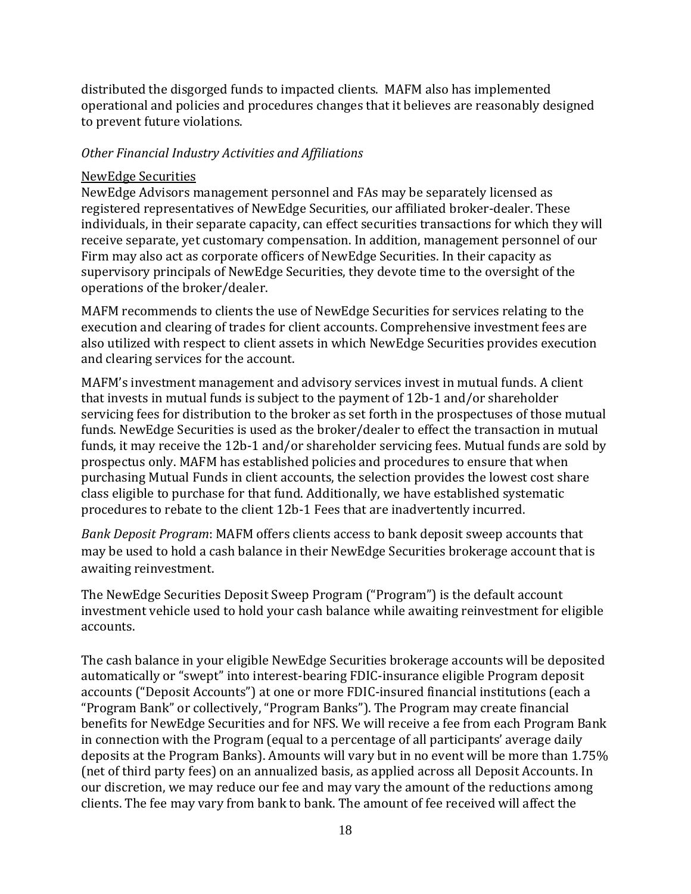distributed the disgorged funds to impacted clients. MAFM also has implemented operational and policies and procedures changes that it believes are reasonably designed to prevent future violations.

## *Other Financial Industry Activities and Affiliations*

#### NewEdge Securities

NewEdge Advisors management personnel and FAs may be separately licensed as registered representatives of NewEdge Securities, our affiliated broker-dealer. These individuals, in their separate capacity, can effect securities transactions for which they will receive separate, yet customary compensation. In addition, management personnel of our Firm may also act as corporate officers of NewEdge Securities. In their capacity as supervisory principals of NewEdge Securities, they devote time to the oversight of the operations of the broker/dealer.

MAFM recommends to clients the use of NewEdge Securities for services relating to the execution and clearing of trades for client accounts. Comprehensive investment fees are also utilized with respect to client assets in which NewEdge Securities provides execution and clearing services for the account.

MAFM's investment management and advisory services invest in mutual funds. A client that invests in mutual funds is subject to the payment of 12b-1 and/or shareholder servicing fees for distribution to the broker as set forth in the prospectuses of those mutual funds. NewEdge Securities is used as the broker/dealer to effect the transaction in mutual funds, it may receive the 12b-1 and/or shareholder servicing fees. Mutual funds are sold by prospectus only. MAFM has established policies and procedures to ensure that when purchasing Mutual Funds in client accounts, the selection provides the lowest cost share class eligible to purchase for that fund. Additionally, we have established systematic procedures to rebate to the client 12b-1 Fees that are inadvertently incurred.

*Bank Deposit Program*: MAFM offers clients access to bank deposit sweep accounts that may be used to hold a cash balance in their NewEdge Securities brokerage account that is awaiting reinvestment.

The NewEdge Securities Deposit Sweep Program ("Program") is the default account investment vehicle used to hold your cash balance while awaiting reinvestment for eligible accounts.

The cash balance in your eligible NewEdge Securities brokerage accounts will be deposited automatically or "swept" into interest-bearing FDIC-insurance eligible Program deposit accounts ("Deposit Accounts") at one or more FDIC-insured financial institutions (each a "Program Bank" or collectively, "Program Banks"). The Program may create financial benefits for NewEdge Securities and for NFS. We will receive a fee from each Program Bank in connection with the Program (equal to a percentage of all participants' average daily deposits at the Program Banks). Amounts will vary but in no event will be more than 1.75% (net of third party fees) on an annualized basis, as applied across all Deposit Accounts. In our discretion, we may reduce our fee and may vary the amount of the reductions among clients. The fee may vary from bank to bank. The amount of fee received will affect the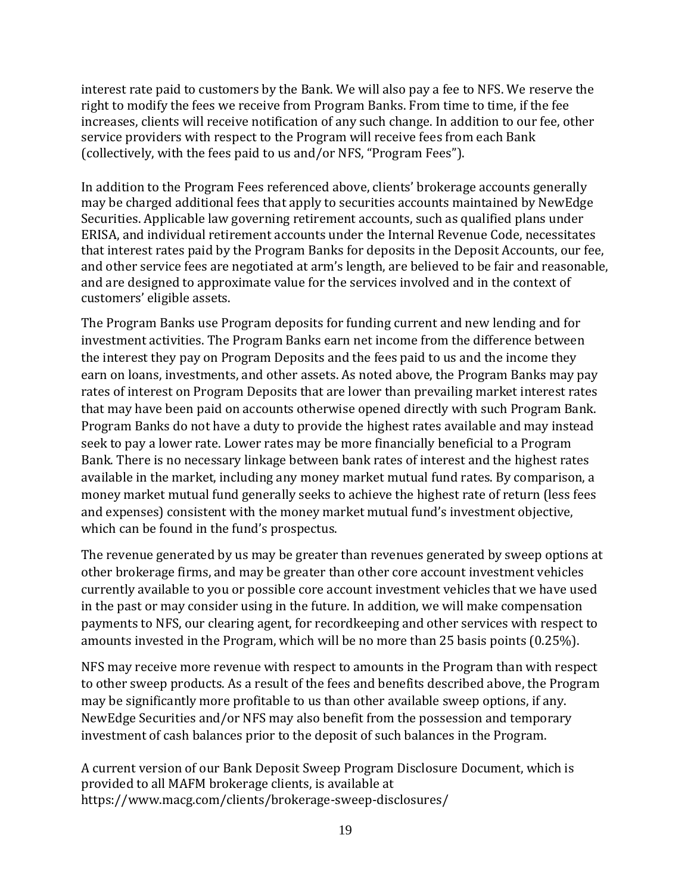interest rate paid to customers by the Bank. We will also pay a fee to NFS. We reserve the right to modify the fees we receive from Program Banks. From time to time, if the fee increases, clients will receive notification of any such change. In addition to our fee, other service providers with respect to the Program will receive fees from each Bank (collectively, with the fees paid to us and/or NFS, "Program Fees").

In addition to the Program Fees referenced above, clients' brokerage accounts generally may be charged additional fees that apply to securities accounts maintained by NewEdge Securities. Applicable law governing retirement accounts, such as qualified plans under ERISA, and individual retirement accounts under the Internal Revenue Code, necessitates that interest rates paid by the Program Banks for deposits in the Deposit Accounts, our fee, and other service fees are negotiated at arm's length, are believed to be fair and reasonable, and are designed to approximate value for the services involved and in the context of customers' eligible assets.

The Program Banks use Program deposits for funding current and new lending and for investment activities. The Program Banks earn net income from the difference between the interest they pay on Program Deposits and the fees paid to us and the income they earn on loans, investments, and other assets. As noted above, the Program Banks may pay rates of interest on Program Deposits that are lower than prevailing market interest rates that may have been paid on accounts otherwise opened directly with such Program Bank. Program Banks do not have a duty to provide the highest rates available and may instead seek to pay a lower rate. Lower rates may be more financially beneficial to a Program Bank. There is no necessary linkage between bank rates of interest and the highest rates available in the market, including any money market mutual fund rates. By comparison, a money market mutual fund generally seeks to achieve the highest rate of return (less fees and expenses) consistent with the money market mutual fund's investment objective, which can be found in the fund's prospectus.

The revenue generated by us may be greater than revenues generated by sweep options at other brokerage firms, and may be greater than other core account investment vehicles currently available to you or possible core account investment vehicles that we have used in the past or may consider using in the future. In addition, we will make compensation payments to NFS, our clearing agent, for recordkeeping and other services with respect to amounts invested in the Program, which will be no more than 25 basis points (0.25%).

NFS may receive more revenue with respect to amounts in the Program than with respect to other sweep products. As a result of the fees and benefits described above, the Program may be significantly more profitable to us than other available sweep options, if any. NewEdge Securities and/or NFS may also benefit from the possession and temporary investment of cash balances prior to the deposit of such balances in the Program.

A current version of our Bank Deposit Sweep Program Disclosure Document, which is provided to all MAFM brokerage clients, is available at https[://www.macg.com/clients/brokerage-sweep-disclosures/](http://www.macg.com/clients/brokerage-sweep-disclosures/)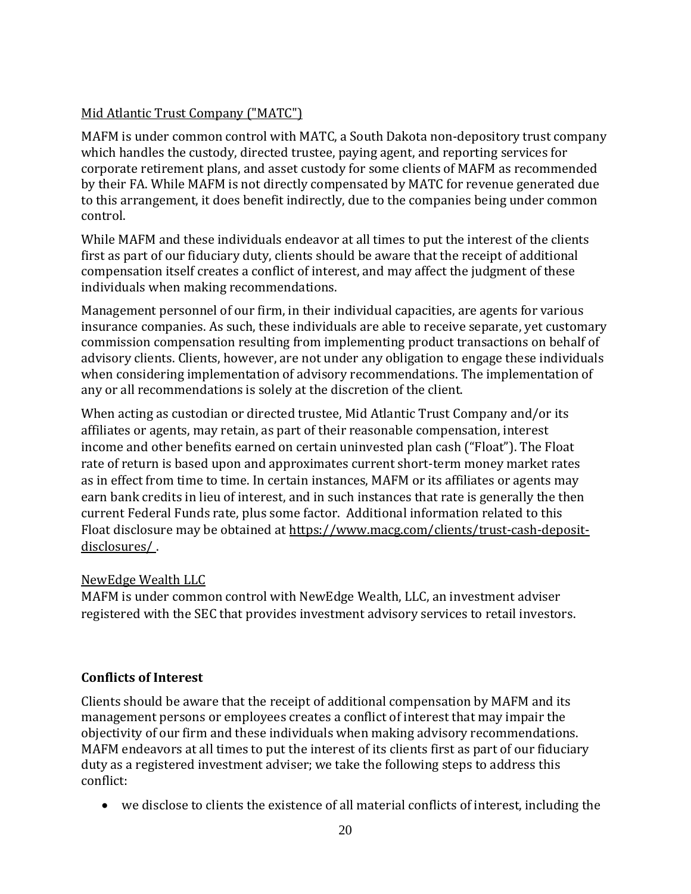# Mid Atlantic Trust Company ("MATC")

MAFM is under common control with MATC, a South Dakota non-depository trust company which handles the custody, directed trustee, paying agent, and reporting services for corporate retirement plans, and asset custody for some clients of MAFM as recommended by their FA. While MAFM is not directly compensated by MATC for revenue generated due to this arrangement, it does benefit indirectly, due to the companies being under common control.

While MAFM and these individuals endeavor at all times to put the interest of the clients first as part of our fiduciary duty, clients should be aware that the receipt of additional compensation itself creates a conflict of interest, and may affect the judgment of these individuals when making recommendations.

Management personnel of our firm, in their individual capacities, are agents for various insurance companies. As such, these individuals are able to receive separate, yet customary commission compensation resulting from implementing product transactions on behalf of advisory clients. Clients, however, are not under any obligation to engage these individuals when considering implementation of advisory recommendations. The implementation of any or all recommendations is solely at the discretion of the client.

When acting as custodian or directed trustee, Mid Atlantic Trust Company and/or its affiliates or agents, may retain, as part of their reasonable compensation, interest income and other benefits earned on certain uninvested plan cash ("Float"). The Float rate of return is based upon and approximates current short-term money market rates as in effect from time to time. In certain instances, MAFM or its affiliates or agents may earn bank credits in lieu of interest, and in such instances that rate is generally the then current Federal Funds rate, plus some factor. Additional information related to this Float disclosure may be obtained at [https://www.macg.com/clients/trust-cash-deposit](https://www.macg.com/clients/trust-cash-deposit-disclosures/)[disclosures/ .](https://www.macg.com/clients/trust-cash-deposit-disclosures/)

## NewEdge Wealth LLC

MAFM is under common control with NewEdge Wealth, LLC, an investment adviser registered with the SEC that provides investment advisory services to retail investors.

## **Conflicts of Interest**

Clients should be aware that the receipt of additional compensation by MAFM and its management persons or employees creates a conflict of interest that may impair the objectivity of our firm and these individuals when making advisory recommendations. MAFM endeavors at all times to put the interest of its clients first as part of our fiduciary duty as a registered investment adviser; we take the following steps to address this conflict:

• we disclose to clients the existence of all material conflicts of interest, including the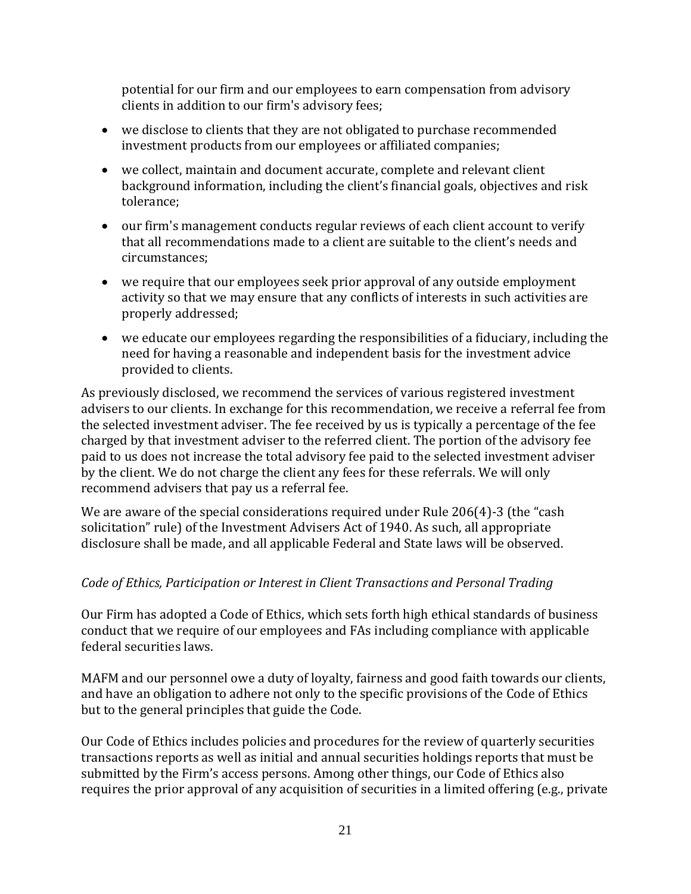potential for our firm and our employees to earn compensation from advisory clients in addition to our firm's advisory fees;

- we disclose to clients that they are not obligated to purchase recommended investment products from our employees or affiliated companies;
- we collect, maintain and document accurate, complete and relevant client background information, including the client's financial goals, objectives and risk tolerance;
- our firm's management conducts regular reviews of each client account to verify that all recommendations made to a client are suitable to the client's needs and circumstances;
- we require that our employees seek prior approval of any outside employment activity so that we may ensure that any conflicts of interests in such activities are properly addressed;
- we educate our employees regarding the responsibilities of a fiduciary, including the need for having a reasonable and independent basis for the investment advice provided to clients.

As previously disclosed, we recommend the services of various registered investment advisers to our clients. In exchange for this recommendation, we receive a referral fee from the selected investment adviser. The fee received by us is typically a percentage of the fee charged by that investment adviser to the referred client. The portion of the advisory fee paid to us does not increase the total advisory fee paid to the selected investment adviser by the client. We do not charge the client any fees for these referrals. We will only recommend advisers that pay us a referral fee.

We are aware of the special considerations required under Rule 206(4)-3 (the "cash solicitation" rule) of the Investment Advisers Act of 1940. As such, all appropriate disclosure shall be made, and all applicable Federal and State laws will be observed.

## *Code of Ethics, Participation or Interest in Client Transactions and Personal Trading*

Our Firm has adopted a Code of Ethics, which sets forth high ethical standards of business conduct that we require of our employees and FAs including compliance with applicable federal securities laws.

MAFM and our personnel owe a duty of loyalty, fairness and good faith towards our clients, and have an obligation to adhere not only to the specific provisions of the Code of Ethics but to the general principles that guide the Code.

Our Code of Ethics includes policies and procedures for the review of quarterly securities transactions reports as well as initial and annual securities holdings reports that must be submitted by the Firm's access persons. Among other things, our Code of Ethics also requires the prior approval of any acquisition of securities in a limited offering (e.g., private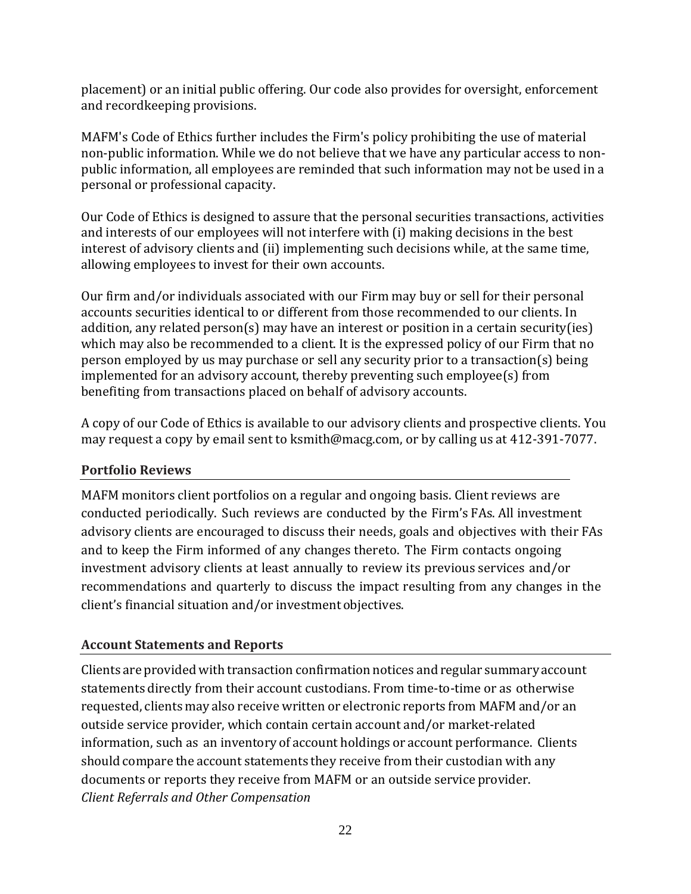placement) or an initial public offering. Our code also provides for oversight, enforcement and recordkeeping provisions.

MAFM's Code of Ethics further includes the Firm's policy prohibiting the use of material non-public information. While we do not believe that we have any particular access to nonpublic information, all employees are reminded that such information may not be used in a personal or professional capacity.

Our Code of Ethics is designed to assure that the personal securities transactions, activities and interests of our employees will not interfere with (i) making decisions in the best interest of advisory clients and (ii) implementing such decisions while, at the same time, allowing employees to invest for their own accounts.

Our firm and/or individuals associated with our Firm may buy or sell for their personal accounts securities identical to or different from those recommended to our clients. In addition, any related person(s) may have an interest or position in a certain security(ies) which may also be recommended to a client. It is the expressed policy of our Firm that no person employed by us may purchase or sell any security prior to a transaction(s) being implemented for an advisory account, thereby preventing such employee(s) from benefiting from transactions placed on behalf of advisory accounts.

A copy of our Code of Ethics is available to our advisory clients and prospective clients. You may request a copy by email sent to ksmith@macg.com, or by calling us at 412-391-7077.

## **Portfolio Reviews**

MAFM monitors client portfolios on a regular and ongoing basis. Client reviews are conducted periodically. Such reviews are conducted by the Firm's FAs. All investment advisory clients are encouraged to discuss their needs, goals and objectives with their FAs and to keep the Firm informed of any changes thereto. The Firm contacts ongoing investment advisory clients at least annually to review its previous services and/or recommendations and quarterly to discuss the impact resulting from any changes in the client's financial situation and/or investment objectives.

## **Account Statements and Reports**

Clients are provided with transaction confirmation notices and regular summary account statements directly from their account custodians. From time-to-time or as otherwise requested, clients may also receive written or electronic reports from MAFM and/or an outside service provider, which contain certain account and/or market-related information, such as an inventory of account holdings or account performance. Clients should compare the account statements they receive from their custodian with any documents or reports they receive from MAFM or an outside service provider. *Client Referrals and Other Compensation*